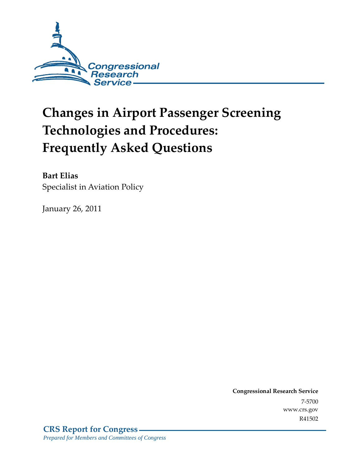

# **Changes in Airport Passenger Screening Technologies and Procedures: Frequently Asked Questions**

**Bart Elias**  Specialist in Aviation Policy

January 26, 2011

**Congressional Research Service** 7-5700 www.crs.gov R41502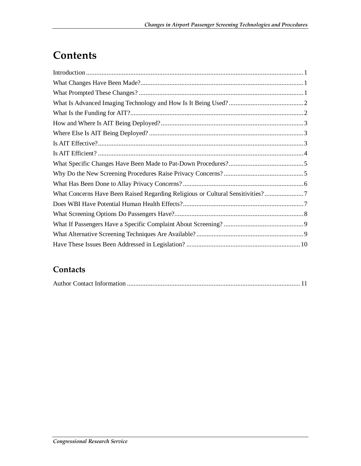## **Contents**

| What Concerns Have Been Raised Regarding Religious or Cultural Sensitivities? |
|-------------------------------------------------------------------------------|
|                                                                               |
|                                                                               |
|                                                                               |
|                                                                               |
|                                                                               |

#### **Contacts**

|--|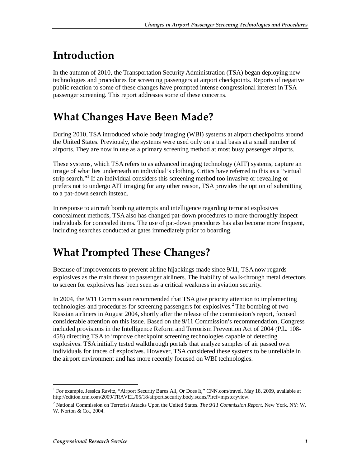### **Introduction**

In the autumn of 2010, the Transportation Security Administration (TSA) began deploying new technologies and procedures for screening passengers at airport checkpoints. Reports of negative public reaction to some of these changes have prompted intense congressional interest in TSA passenger screening. This report addresses some of these concerns.

### **What Changes Have Been Made?**

During 2010, TSA introduced whole body imaging (WBI) systems at airport checkpoints around the United States. Previously, the systems were used only on a trial basis at a small number of airports. They are now in use as a primary screening method at most busy passenger airports.

These systems, which TSA refers to as advanced imaging technology (AIT) systems, capture an image of what lies underneath an individual's clothing. Critics have referred to this as a "virtual strip search."<sup>1</sup> If an individual considers this screening method too invasive or revealing or prefers not to undergo AIT imaging for any other reason, TSA provides the option of submitting to a pat-down search instead.

In response to aircraft bombing attempts and intelligence regarding terrorist explosives concealment methods, TSA also has changed pat-down procedures to more thoroughly inspect individuals for concealed items. The use of pat-down procedures has also become more frequent, including searches conducted at gates immediately prior to boarding.

## **What Prompted These Changes?**

Because of improvements to prevent airline hijackings made since 9/11, TSA now regards explosives as the main threat to passenger airliners. The inability of walk-through metal detectors to screen for explosives has been seen as a critical weakness in aviation security.

In 2004, the 9/11 Commission recommended that TSA give priority attention to implementing technologies and procedures for screening passengers for explosives.<sup>2</sup> The bombing of two Russian airliners in August 2004, shortly after the release of the commission's report, focused considerable attention on this issue. Based on the 9/11 Commission's recommendation, Congress included provisions in the Intelligence Reform and Terrorism Prevention Act of 2004 (P.L. 108- 458) directing TSA to improve checkpoint screening technologies capable of detecting explosives. TSA initially tested walkthrough portals that analyze samples of air passed over individuals for traces of explosives. However, TSA considered these systems to be unreliable in the airport environment and has more recently focused on WBI technologies.

<sup>-</sup><sup>1</sup> For example, Jessica Ravitz, "Airport Security Bares All, Or Does It," CNN.com/travel, May 18, 2009, available at http://edition.cnn.com/2009/TRAVEL/05/18/airport.security.body.scans/?iref=mpstoryview.

<sup>2</sup> National Commission on Terrorist Attacks Upon the United States. *The 9/11 Commission Report*, New York, NY: W. W. Norton & Co., 2004.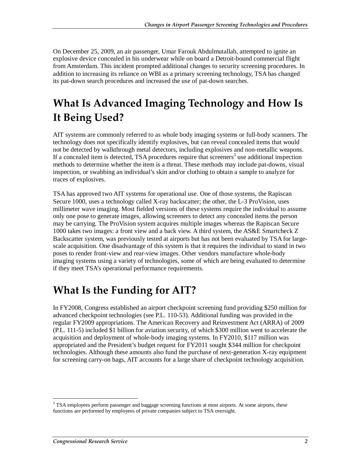On December 25, 2009, an air passenger, Umar Farouk Abdulmutallab, attempted to ignite an explosive device concealed in his underwear while on board a Detroit-bound commercial flight from Amsterdam. This incident prompted additional changes to security screening procedures. In addition to increasing its reliance on WBI as a primary screening technology, TSA has changed its pat-down search procedures and increased the use of pat-down searches.

### **What Is Advanced Imaging Technology and How Is It Being Used?**

AIT systems are commonly referred to as whole body imaging systems or full-body scanners. The technology does not specifically identify explosives, but can reveal concealed items that would not be detected by walkthrough metal detectors, including explosives and non-metallic weapons. If a concealed item is detected, TSA procedures require that screeners<sup>3</sup> use additional inspection methods to determine whether the item is a threat. These methods may include pat-downs, visual inspection, or swabbing an individual's skin and/or clothing to obtain a sample to analyze for traces of explosives.

TSA has approved two AIT systems for operational use. One of those systems, the Rapiscan Secure 1000, uses a technology called X-ray backscatter; the other, the L-3 ProVision, uses millimeter wave imaging. Most fielded versions of these systems require the individual to assume only one pose to generate images, allowing screeners to detect any concealed items the person may be carrying. The ProVision system acquires multiple images whereas the Rapiscan Secure 1000 takes two images: a front view and a back view. A third system, the AS&E Smartcheck Z Backscatter system, was previously tested at airports but has not been evaluated by TSA for largescale acquisition. One disadvantage of this system is that it requires the individual to stand in two poses to render front-view and rear-view images. Other vendors manufacture whole-body imaging systems using a variety of technologies, some of which are being evaluated to determine if they meet TSA's operational performance requirements.

### **What Is the Funding for AIT?**

In FY2008, Congress established an airport checkpoint screening fund providing \$250 million for advanced checkpoint technologies (see P.L. 110-53). Additional funding was provided in the regular FY2009 appropriations. The American Recovery and Reinvestment Act (ARRA) of 2009 (P.L. 111-5) included \$1 billion for aviation security, of which \$300 million went to accelerate the acquisition and deployment of whole-body imaging systems. In FY2010, \$117 million was appropriated and the President's budget request for FY2011 sought \$344 million for checkpoint technologies. Although these amounts also fund the purchase of next-generation X-ray equipment for screening carry-on bags, AIT accounts for a large share of checkpoint technology acquisition.

-

<sup>&</sup>lt;sup>3</sup> TSA employees perform passenger and baggage screening functions at most airports. At some airports, these functions are performed by employees of private companies subject to TSA oversight.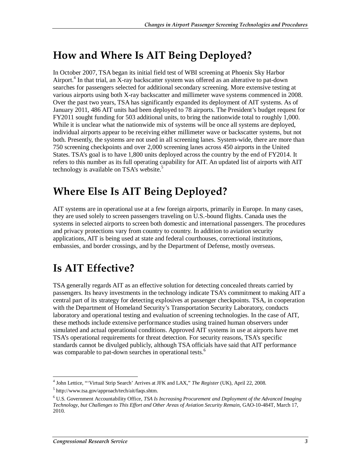### **How and Where Is AIT Being Deployed?**

In October 2007, TSA began its initial field test of WBI screening at Phoenix Sky Harbor Airport.<sup>4</sup> In that trial, an X-ray backscatter system was offered as an alterative to pat-down searches for passengers selected for additional secondary screening. More extensive testing at various airports using both X-ray backscatter and millimeter wave systems commenced in 2008. Over the past two years, TSA has significantly expanded its deployment of AIT systems. As of January 2011, 486 AIT units had been deployed to 78 airports. The President's budget request for FY2011 sought funding for 503 additional units, to bring the nationwide total to roughly 1,000. While it is unclear what the nationwide mix of systems will be once all systems are deployed, individual airports appear to be receiving either millimeter wave or backscatter systems, but not both. Presently, the systems are not used in all screening lanes. System-wide, there are more than 750 screening checkpoints and over 2,000 screening lanes across 450 airports in the United States. TSA's goal is to have 1,800 units deployed across the country by the end of FY2014. It refers to this number as its full operating capability for AIT. An updated list of airports with AIT technology is available on TSA's website.<sup>5</sup>

### **Where Else Is AIT Being Deployed?**

AIT systems are in operational use at a few foreign airports, primarily in Europe. In many cases, they are used solely to screen passengers traveling on U.S.-bound flights. Canada uses the systems in selected airports to screen both domestic and international passengers. The procedures and privacy protections vary from country to country. In addition to aviation security applications, AIT is being used at state and federal courthouses, correctional institutions, embassies, and border crossings, and by the Department of Defense, mostly overseas.

### **Is AIT Effective?**

TSA generally regards AIT as an effective solution for detecting concealed threats carried by passengers. Its heavy investments in the technology indicate TSA's commitment to making AIT a central part of its strategy for detecting explosives at passenger checkpoints. TSA, in cooperation with the Department of Homeland Security's Transportation Security Laboratory, conducts laboratory and operational testing and evaluation of screening technologies. In the case of AIT, these methods include extensive performance studies using trained human observers under simulated and actual operational conditions. Approved AIT systems in use at airports have met TSA's operational requirements for threat detection. For security reasons, TSA's specific standards cannot be divulged publicly, although TSA officials have said that AIT performance was comparable to pat-down searches in operational tests.<sup>6</sup>

 4 John Lettice, "'Virtual Strip Search' Arrives at JFK and LAX," *The Register* (UK), April 22, 2008.

<sup>5</sup> http://www.tsa.gov/approach/tech/ait/faqs.shtm.

<sup>6</sup> U.S. Government Accountability Office, *TSA Is Increasing Procurement and Deployment of the Advanced Imaging Technology, but Challenges to This Effort and Other Areas of Aviation Security Remain*, GAO-10-484T, March 17, 2010.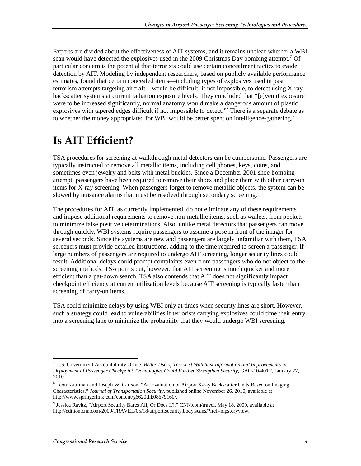Experts are divided about the effectiveness of AIT systems, and it remains unclear whether a WBI scan would have detected the explosives used in the 2009 Christmas Day bombing attempt.<sup>7</sup> Of particular concern is the potential that terrorists could use certain concealment tactics to evade detection by AIT. Modeling by independent researchers, based on publicly available performance estimates, found that certain concealed items—including types of explosives used in past terrorism attempts targeting aircraft—would be difficult, if not impossible, to detect using X-ray backscatter systems at current radiation exposure levels. They concluded that "[e]ven if exposure were to be increased significantly, normal anatomy would make a dangerous amount of plastic explosives with tapered edges difficult if not impossible to detect."<sup>8</sup> There is a separate debate as to whether the money appropriated for WBI would be better spent on intelligence-gathering.<sup>9</sup>

#### **Is AIT Efficient?**

TSA procedures for screening at walkthrough metal detectors can be cumbersome. Passengers are typically instructed to remove all metallic items, including cell phones, keys, coins, and sometimes even jewelry and belts with metal buckles. Since a December 2001 shoe-bombing attempt, passengers have been required to remove their shoes and place them with other carry-on items for X-ray screening. When passengers forget to remove metallic objects, the system can be slowed by nuisance alarms that must be resolved through secondary screening.

The procedures for AIT, as currently implemented, do not eliminate any of these requirements and impose additional requirements to remove non-metallic items, such as wallets, from pockets to minimize false positive determinations. Also, unlike metal detectors that passengers can move through quickly, WBI systems require passengers to assume a pose in front of the imager for several seconds. Since the systems are new and passengers are largely unfamiliar with them, TSA screeners must provide detailed instructions, adding to the time required to screen a passenger. If large numbers of passengers are required to undergo AIT screening, longer security lines could result. Additional delays could prompt complaints even from passengers who do not object to the screening methods. TSA points out, however, that AIT screening is much quicker and more efficient than a pat-down search. TSA also contends that AIT does not significantly impact checkpoint efficiency at current utilization levels because AIT screening is typically faster than screening of carry-on items.

TSA could minimize delays by using WBI only at times when security lines are short. However, such a strategy could lead to vulnerabilities if terrorists carrying explosives could time their entry into a screening lane to minimize the probability that they would undergo WBI screening.

<sup>&</sup>lt;u>.</u> 7 U.S. Government Accountability Office, *Better Use of Terrorist Watchlist Information and Improvements in Deployment of Passenger Checkpoint Technologies Could Further Strengthen Security*, GAO-10-401T, January 27, 2010.

<sup>&</sup>lt;sup>8</sup> Leon Kaufman and Joseph W. Carlson, "An Evaluation of Airport X-ray Backscatter Units Based on Imaging Characteristics," *Journal of Transportation Security*, published online November 26, 2010, available at http://www.springerlink.com/content/g6620thk08679160/.

<sup>&</sup>lt;sup>9</sup> Jessica Ravitz, "Airport Security Bares All, Or Does It?," CNN.com/travel, May 18, 2009, available at http://edition.cnn.com/2009/TRAVEL/05/18/airport.security.body.scans/?iref=mpstoryview.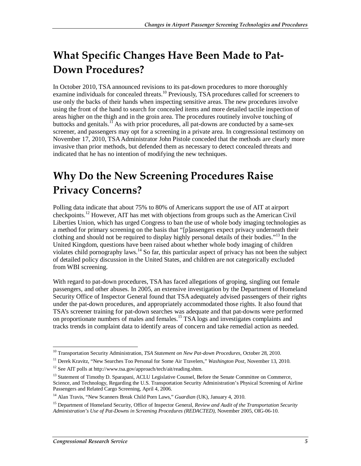## **What Specific Changes Have Been Made to Pat-Down Procedures?**

In October 2010, TSA announced revisions to its pat-down procedures to more thoroughly examine individuals for concealed threats.<sup>10</sup> Previously, TSA procedures called for screeners to use only the backs of their hands when inspecting sensitive areas. The new procedures involve using the front of the hand to search for concealed items and more detailed tactile inspection of areas higher on the thigh and in the groin area. The procedures routinely involve touching of buttocks and genitals.<sup>11</sup> As with prior procedures, all pat-downs are conducted by a same-sex screener, and passengers may opt for a screening in a private area. In congressional testimony on November 17, 2010, TSA Administrator John Pistole conceded that the methods are clearly more invasive than prior methods, but defended them as necessary to detect concealed threats and indicated that he has no intention of modifying the new techniques.

### **Why Do the New Screening Procedures Raise Privacy Concerns?**

Polling data indicate that about 75% to 80% of Americans support the use of AIT at airport checkpoints.12 However, AIT has met with objections from groups such as the American Civil Liberties Union, which has urged Congress to ban the use of whole body imaging technologies as a method for primary screening on the basis that "[p]assengers expect privacy underneath their clothing and should not be required to display highly personal details of their bodies."13 In the United Kingdom, questions have been raised about whether whole body imaging of children violates child pornography laws.<sup>14</sup> So far, this particular aspect of privacy has not been the subject of detailed policy discussion in the United States, and children are not categorically excluded from WBI screening.

With regard to pat-down procedures, TSA has faced allegations of groping, singling out female passengers, and other abuses. In 2005, an extensive investigation by the Department of Homeland Security Office of Inspector General found that TSA adequately advised passengers of their rights under the pat-down procedures, and appropriately accommodated those rights. It also found that TSA's screener training for pat-down searches was adequate and that pat-downs were performed on proportionate numbers of males and females.<sup>15</sup> TSA logs and investigates complaints and tracks trends in complaint data to identify areas of concern and take remedial action as needed.

<sup>-</sup>10 Transportation Security Administration, *TSA Statement on New Pat-down Procedures*, October 28, 2010.

<sup>11</sup> Derek Kravitz, "New Searches Too Personal for Some Air Travelers," *Washington Post*, November 13, 2010.

<sup>12</sup> See AIT polls at http://www.tsa.gov/approach/tech/ait/reading.shtm.

<sup>&</sup>lt;sup>13</sup> Statement of Timothy D. Sparapani, ACLU Legislative Counsel, Before the Senate Committee on Commerce, Science, and Technology, Regarding the U.S. Transportation Security Administration's Physical Screening of Airline Passengers and Related Cargo Screening, April 4, 2006.

<sup>14</sup> Alan Travis, "New Scanners Break Child Porn Laws," *Guardian* (UK), January 4, 2010.

<sup>&</sup>lt;sup>15</sup> Department of Homeland Security, Office of Inspector General, *Review and Audit of the Transportation Security Administration's Use of Pat-Downs in Screening Procedures (REDACTED)*, November 2005, OIG-06-10.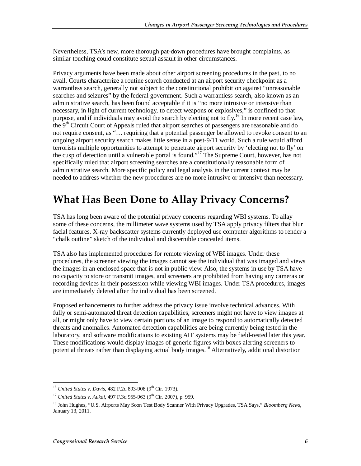Nevertheless, TSA's new, more thorough pat-down procedures have brought complaints, as similar touching could constitute sexual assault in other circumstances.

Privacy arguments have been made about other airport screening procedures in the past, to no avail. Courts characterize a routine search conducted at an airport security checkpoint as a warrantless search, generally not subject to the constitutional prohibition against "unreasonable searches and seizures" by the federal government. Such a warrantless search, also known as an administrative search, has been found acceptable if it is "no more intrusive or intensive than necessary, in light of current technology, to detect weapons or explosives," is confined to that purpose, and if individuals may avoid the search by electing not to fly.<sup>16</sup> In more recent case law, the 9<sup>th</sup> Circuit Court of Appeals ruled that airport searches of passengers are reasonable and do not require consent, as "… requiring that a potential passenger be allowed to revoke consent to an ongoing airport security search makes little sense in a post-9/11 world. Such a rule would afford terrorists multiple opportunities to attempt to penetrate airport security by 'electing not to fly' on the cusp of detection until a vulnerable portal is found."17 The Supreme Court, however, has not specifically ruled that airport screening searches are a constitutionally reasonable form of administrative search. More specific policy and legal analysis in the current context may be needed to address whether the new procedures are no more intrusive or intensive than necessary.

#### **What Has Been Done to Allay Privacy Concerns?**

TSA has long been aware of the potential privacy concerns regarding WBI systems. To allay some of these concerns, the millimeter wave systems used by TSA apply privacy filters that blur facial features. X-ray backscatter systems currently deployed use computer algorithms to render a "chalk outline" sketch of the individual and discernible concealed items.

TSA also has implemented procedures for remote viewing of WBI images. Under these procedures, the screener viewing the images cannot see the individual that was imaged and views the images in an enclosed space that is not in public view. Also, the systems in use by TSA have no capacity to store or transmit images, and screeners are prohibited from having any cameras or recording devices in their possession while viewing WBI images. Under TSA procedures, images are immediately deleted after the individual has been screened.

Proposed enhancements to further address the privacy issue involve technical advances. With fully or semi-automated threat detection capabilities, screeners might not have to view images at all, or might only have to view certain portions of an image to respond to automatically detected threats and anomalies. Automated detection capabilities are being currently being tested in the laboratory, and software modifications to existing AIT systems may be field-tested later this year. These modifications would display images of generic figures with boxes alerting screeners to potential threats rather than displaying actual body images.<sup>18</sup> Alternatively, additional distortion

<sup>-</sup><sup>16</sup> *United States v. Davis*, 482 F.2d 893-908 (9<sup>th</sup> Cir. 1973).

<sup>&</sup>lt;sup>17</sup> *United States v. Aukai*, 497 F.3d 955-963 (9<sup>th</sup> Cir. 2007). p. 959.

<sup>18</sup> John Hughes, "U.S. Airports May Soon Test Body Scanner With Privacy Upgrades, TSA Says," *Bloomberg News*, January 13, 2011.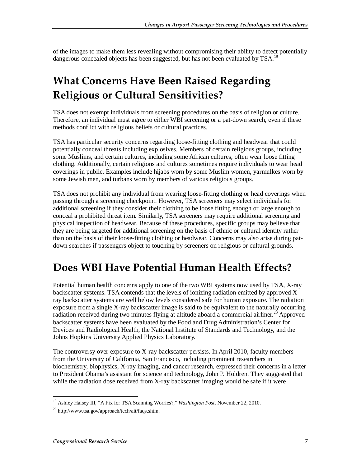of the images to make them less revealing without compromising their ability to detect potentially dangerous concealed objects has been suggested, but has not been evaluated by TSA.<sup>19</sup>

### **What Concerns Have Been Raised Regarding Religious or Cultural Sensitivities?**

TSA does not exempt individuals from screening procedures on the basis of religion or culture. Therefore, an individual must agree to either WBI screening or a pat-down search, even if these methods conflict with religious beliefs or cultural practices.

TSA has particular security concerns regarding loose-fitting clothing and headwear that could potentially conceal threats including explosives. Members of certain religious groups, including some Muslims, and certain cultures, including some African cultures, often wear loose fitting clothing. Additionally, certain religions and cultures sometimes require individuals to wear head coverings in public. Examples include hijabs worn by some Muslim women, yarmulkes worn by some Jewish men, and turbans worn by members of various religious groups.

TSA does not prohibit any individual from wearing loose-fitting clothing or head coverings when passing through a screening checkpoint. However, TSA screeners may select individuals for additional screening if they consider their clothing to be loose fitting enough or large enough to conceal a prohibited threat item. Similarly, TSA screeners may require additional screening and physical inspection of headwear. Because of these procedures, specific groups may believe that they are being targeted for additional screening on the basis of ethnic or cultural identity rather than on the basis of their loose-fitting clothing or headwear. Concerns may also arise during patdown searches if passengers object to touching by screeners on religious or cultural grounds.

#### **Does WBI Have Potential Human Health Effects?**

Potential human health concerns apply to one of the two WBI systems now used by TSA, X-ray backscatter systems. TSA contends that the levels of ionizing radiation emitted by approved Xray backscatter systems are well below levels considered safe for human exposure. The radiation exposure from a single X-ray backscatter image is said to be equivalent to the naturally occurring radiation received during two minutes flying at altitude aboard a commercial airliner.<sup>20</sup> Approved backscatter systems have been evaluated by the Food and Drug Administration's Center for Devices and Radiological Health, the National Institute of Standards and Technology, and the Johns Hopkins University Applied Physics Laboratory.

The controversy over exposure to X-ray backscatter persists. In April 2010, faculty members from the University of California, San Francisco, including prominent researchers in biochemistry, biophysics, X-ray imaging, and cancer research, expressed their concerns in a letter to President Obama's assistant for science and technology, John P. Holdren. They suggested that while the radiation dose received from X-ray backscatter imaging would be safe if it were

 $\frac{1}{1}$ 19 Ashley Halsey III, "A Fix for TSA Scanning Worries?," *Washington Post*, November 22, 2010.

 $^{20}$  http://www.tsa.gov/approach/tech/ait/faqs.shtm.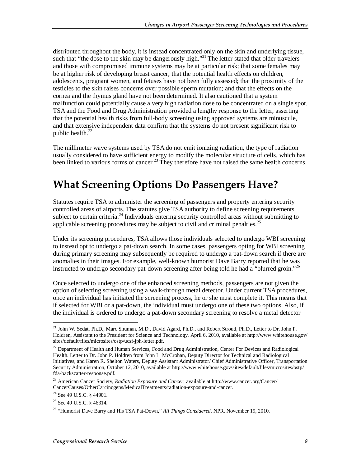distributed throughout the body, it is instead concentrated only on the skin and underlying tissue, such that "the dose to the skin may be dangerously high."<sup>21</sup> The letter stated that older travelers and those with compromised immune systems may be at particular risk; that some females may be at higher risk of developing breast cancer; that the potential health effects on children, adolescents, pregnant women, and fetuses have not been fully assessed; that the proximity of the testicles to the skin raises concerns over possible sperm mutation; and that the effects on the cornea and the thymus gland have not been determined. It also cautioned that a system malfunction could potentially cause a very high radiation dose to be concentrated on a single spot. TSA and the Food and Drug Administration provided a lengthy response to the letter, asserting that the potential health risks from full-body screening using approved systems are minuscule, and that extensive independent data confirm that the systems do not present significant risk to public health.<sup>22</sup>

The millimeter wave systems used by TSA do not emit ionizing radiation, the type of radiation usually considered to have sufficient energy to modify the molecular structure of cells, which has been linked to various forms of cancer.<sup>23</sup> They therefore have not raised the same health concerns.

### **What Screening Options Do Passengers Have?**

Statutes require TSA to administer the screening of passengers and property entering security controlled areas of airports. The statutes give TSA authority to define screening requirements subject to certain criteria.<sup>24</sup> Individuals entering security controlled areas without submitting to applicable screening procedures may be subject to civil and criminal penalties.<sup>25</sup>

Under its screening procedures, TSA allows those individuals selected to undergo WBI screening to instead opt to undergo a pat-down search. In some cases, passengers opting for WBI screening during primary screening may subsequently be required to undergo a pat-down search if there are anomalies in their images. For example, well-known humorist Dave Barry reported that he was instructed to undergo secondary pat-down screening after being told he had a "blurred groin."<sup>26</sup>

Once selected to undergo one of the enhanced screening methods, passengers are not given the option of selecting screening using a walk-through metal detector. Under current TSA procedures, once an individual has initiated the screening process, he or she must complete it. This means that if selected for WBI or a pat-down, the individual must undergo one of these two options. Also, if the individual is ordered to undergo a pat-down secondary screening to resolve a metal detector

<sup>-</sup><sup>21</sup> John W. Sedat, Ph.D., Marc Shuman, M.D., David Agard, Ph.D., and Robert Stroud, Ph.D., Letter to Dr. John P. Holdren, Assistant to the President for Science and Technology, April 6, 2010, available at http://www.whitehouse.gov/ sites/default/files/microsites/ostp/ucsf-jph-letter.pdf.

<sup>&</sup>lt;sup>22</sup> Department of Health and Human Services, Food and Drug Administration, Center For Devices and Radiological Health. Letter to Dr. John P. Holdren from John L. McCrohan, Deputy Director for Technical and Radiological Initiatives, and Karen R. Shelton Waters, Deputy Assistant Administrator/ Chief Administrative Officer, Transportation Security Administration, October 12, 2010, available at http://www.whitehouse.gov/sites/default/files/microsites/ostp/ fda-backscatter-response.pdf.

<sup>23</sup> American Cancer Society, *Radiation Exposure and Cancer*, available at http://www.cancer.org/Cancer/ CancerCauses/OtherCarcinogens/MedicalTreatments/radiation-exposure-and-cancer.

<sup>&</sup>lt;sup>24</sup> See 49 U.S.C. § 44901.

<sup>&</sup>lt;sup>25</sup> See 49 U.S.C. § 46314.

<sup>26 &</sup>quot;Humorist Dave Barry and His TSA Pat-Down," *All Things Considered*, NPR, November 19, 2010.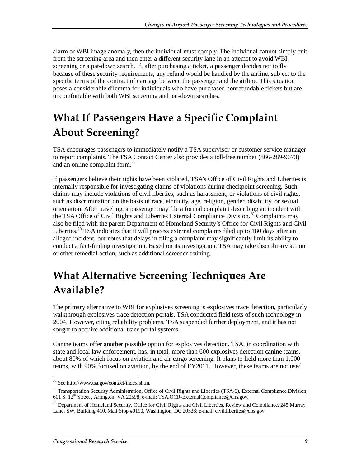alarm or WBI image anomaly, then the individual must comply. The individual cannot simply exit from the screening area and then enter a different security lane in an attempt to avoid WBI screening or a pat-down search. If, after purchasing a ticket, a passenger decides not to fly because of these security requirements, any refund would be handled by the airline, subject to the specific terms of the contract of carriage between the passenger and the airline. This situation poses a considerable dilemma for individuals who have purchased nonrefundable tickets but are uncomfortable with both WBI screening and pat-down searches.

## **What If Passengers Have a Specific Complaint About Screening?**

TSA encourages passengers to immediately notify a TSA supervisor or customer service manager to report complaints. The TSA Contact Center also provides a toll-free number (866-289-9673) and an online complaint form.<sup>27</sup>

If passengers believe their rights have been violated, TSA's Office of Civil Rights and Liberties is internally responsible for investigating claims of violations during checkpoint screening. Such claims may include violations of civil liberties, such as harassment, or violations of civil rights, such as discrimination on the basis of race, ethnicity, age, religion, gender, disability, or sexual orientation. After traveling, a passenger may file a formal complaint describing an incident with the TSA Office of Civil Rights and Liberties External Compliance Division.<sup>28</sup> Complaints may also be filed with the parent Department of Homeland Security's Office for Civil Rights and Civil Liberties.<sup>29</sup> TSA indicates that it will process external complaints filed up to 180 days after an alleged incident, but notes that delays in filing a complaint may significantly limit its ability to conduct a fact-finding investigation. Based on its investigation, TSA may take disciplinary action or other remedial action, such as additional screener training.

### **What Alternative Screening Techniques Are Available?**

The primary alternative to WBI for explosives screening is explosives trace detection, particularly walkthrough explosives trace detection portals. TSA conducted field tests of such technology in 2004. However, citing reliability problems, TSA suspended further deployment, and it has not sought to acquire additional trace portal systems.

Canine teams offer another possible option for explosives detection. TSA, in coordination with state and local law enforcement, has, in total, more than 600 explosives detection canine teams, about 80% of which focus on aviation and air cargo screening. It plans to field more than 1,000 teams, with 90% focused on aviation, by the end of FY2011. However, these teams are not used

 $\frac{1}{2}$  $27$  See http://www.tsa.gov/contact/index.shtm.

<sup>&</sup>lt;sup>28</sup> Transportation Security Administration, Office of Civil Rights and Liberties (TSA-6), External Compliance Division, 601 S.  $12^{th}$  Street, Arlington, VA 20598; e-mail: TSA.OCR-ExternalCompliance@dhs.gov.

<sup>&</sup>lt;sup>29</sup> Department of Homeland Security, Office for Civil Rights and Civil Liberties, Review and Compliance, 245 Murray Lane, SW, Building 410, Mail Stop #0190, Washington, DC 20528; e-mail: civil.liberties@dhs.gov.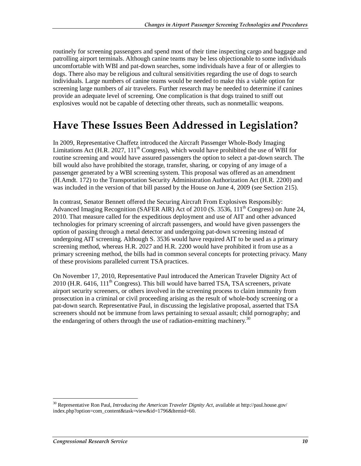routinely for screening passengers and spend most of their time inspecting cargo and baggage and patrolling airport terminals. Although canine teams may be less objectionable to some individuals uncomfortable with WBI and pat-down searches, some individuals have a fear of or allergies to dogs. There also may be religious and cultural sensitivities regarding the use of dogs to search individuals. Large numbers of canine teams would be needed to make this a viable option for screening large numbers of air travelers. Further research may be needed to determine if canines provide an adequate level of screening. One complication is that dogs trained to sniff out explosives would not be capable of detecting other threats, such as nonmetallic weapons.

#### **Have These Issues Been Addressed in Legislation?**

In 2009, Representative Chaffetz introduced the Aircraft Passenger Whole-Body Imaging Limitations Act (H.R. 2027,  $111<sup>th</sup>$  Congress), which would have prohibited the use of WBI for routine screening and would have assured passengers the option to select a pat-down search. The bill would also have prohibited the storage, transfer, sharing, or copying of any image of a passenger generated by a WBI screening system. This proposal was offered as an amendment (H.Amdt. 172) to the Transportation Security Administration Authorization Act (H.R. 2200) and was included in the version of that bill passed by the House on June 4, 2009 (see Section 215).

In contrast, Senator Bennett offered the Securing Aircraft From Explosives Responsibly: Advanced Imaging Recognition (SAFER AIR) Act of 2010 (S. 3536,  $111<sup>th</sup>$  Congress) on June 24, 2010. That measure called for the expeditious deployment and use of AIT and other advanced technologies for primary screening of aircraft passengers, and would have given passengers the option of passing through a metal detector and undergoing pat-down screening instead of undergoing AIT screening. Although S. 3536 would have required AIT to be used as a primary screening method, whereas H.R. 2027 and H.R. 2200 would have prohibited it from use as a primary screening method, the bills had in common several concepts for protecting privacy. Many of these provisions paralleled current TSA practices.

On November 17, 2010, Representative Paul introduced the American Traveler Dignity Act of  $2010$  (H.R. 6416, 111<sup>th</sup> Congress). This bill would have barred TSA, TSA screeners, private airport security screeners, or others involved in the screening process to claim immunity from prosecution in a criminal or civil proceeding arising as the result of whole-body screening or a pat-down search. Representative Paul, in discussing the legislative proposal, asserted that TSA screeners should not be immune from laws pertaining to sexual assault; child pornography; and the endangering of others through the use of radiation-emitting machinery.<sup>30</sup>

-

<sup>30</sup> Representative Ron Paul, *Introducing the American Traveler Dignity Act*, available at http://paul.house.gov/ index.php?option=com\_content&task=view&id=1796&Itemid=60.